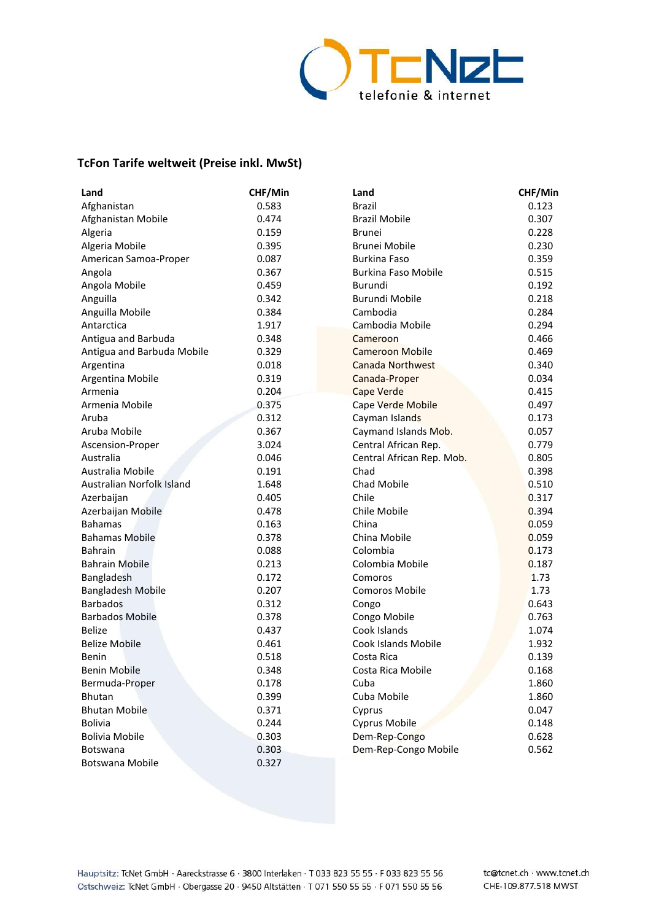

## **TcFon Tarife weltweit (Preise inkl. MwSt)**

| Land                       | CHF/Min | Land                       | CHF/Min |
|----------------------------|---------|----------------------------|---------|
| Afghanistan                | 0.583   | <b>Brazil</b>              | 0.123   |
| Afghanistan Mobile         | 0.474   | <b>Brazil Mobile</b>       | 0.307   |
| Algeria                    | 0.159   | <b>Brunei</b>              | 0.228   |
| Algeria Mobile             | 0.395   | Brunei Mobile              | 0.230   |
| American Samoa-Proper      | 0.087   | <b>Burkina Faso</b>        | 0.359   |
| Angola                     | 0.367   | <b>Burkina Faso Mobile</b> | 0.515   |
| Angola Mobile              | 0.459   | Burundi                    | 0.192   |
| Anguilla                   | 0.342   | <b>Burundi Mobile</b>      | 0.218   |
| Anguilla Mobile            | 0.384   | Cambodia                   | 0.284   |
| Antarctica                 | 1.917   | Cambodia Mobile            | 0.294   |
| Antigua and Barbuda        | 0.348   | Cameroon                   | 0.466   |
| Antigua and Barbuda Mobile | 0.329   | <b>Cameroon Mobile</b>     | 0.469   |
| Argentina                  | 0.018   | Canada Northwest           | 0.340   |
| Argentina Mobile           | 0.319   | Canada-Proper              | 0.034   |
| Armenia                    | 0.204   | <b>Cape Verde</b>          | 0.415   |
| Armenia Mobile             | 0.375   | <b>Cape Verde Mobile</b>   | 0.497   |
| Aruba                      | 0.312   | Cayman Islands             | 0.173   |
| Aruba Mobile               | 0.367   | Caymand Islands Mob.       | 0.057   |
| Ascension-Proper           | 3.024   | Central African Rep.       | 0.779   |
| Australia                  | 0.046   | Central African Rep. Mob.  | 0.805   |
| Australia Mobile           | 0.191   | Chad                       | 0.398   |
| Australian Norfolk Island  | 1.648   | Chad Mobile                | 0.510   |
| Azerbaijan                 | 0.405   | Chile                      | 0.317   |
| Azerbaijan Mobile          | 0.478   | Chile Mobile               | 0.394   |
| <b>Bahamas</b>             | 0.163   | China                      | 0.059   |
| <b>Bahamas Mobile</b>      | 0.378   | China Mobile               | 0.059   |
| <b>Bahrain</b>             | 0.088   | Colombia                   | 0.173   |
| <b>Bahrain Mobile</b>      | 0.213   | Colombia Mobile            | 0.187   |
| Bangladesh                 | 0.172   | Comoros                    | 1.73    |
| <b>Bangladesh Mobile</b>   | 0.207   | <b>Comoros Mobile</b>      | 1.73    |
| <b>Barbados</b>            | 0.312   | Congo                      | 0.643   |
| <b>Barbados Mobile</b>     | 0.378   | Congo Mobile               | 0.763   |
| <b>Belize</b>              | 0.437   | Cook Islands               | 1.074   |
| <b>Belize Mobile</b>       | 0.461   | Cook Islands Mobile        | 1.932   |
| Benin                      | 0.518   | Costa Rica                 | 0.139   |
| <b>Benin Mobile</b>        | 0.348   | Costa Rica Mobile          | 0.168   |
| Bermuda-Proper             | 0.178   | Cuba                       | 1.860   |
| <b>Bhutan</b>              | 0.399   | Cuba Mobile                | 1.860   |
| <b>Bhutan Mobile</b>       | 0.371   | Cyprus                     | 0.047   |
| <b>Bolivia</b>             | 0.244   | Cyprus Mobile              | 0.148   |
| <b>Bolivia Mobile</b>      | 0.303   | Dem-Rep-Congo              | 0.628   |
| <b>Botswana</b>            | 0.303   | Dem-Rep-Congo Mobile       | 0.562   |
| Botswana Mobile            | 0.327   |                            |         |

Hauptsitz: TcNet GmbH · Aareckstrasse 6 · 3800 Interlaken · T 033 823 55 55 · F 033 823 55 56 Ostschweiz: TcNet GmbH · Obergasse 20 · 9450 Altstätten · T 071 550 55 55 · F 071 550 55 56 tc@tcnet.ch · www.tcnet.ch CHE-109.877.518 MWST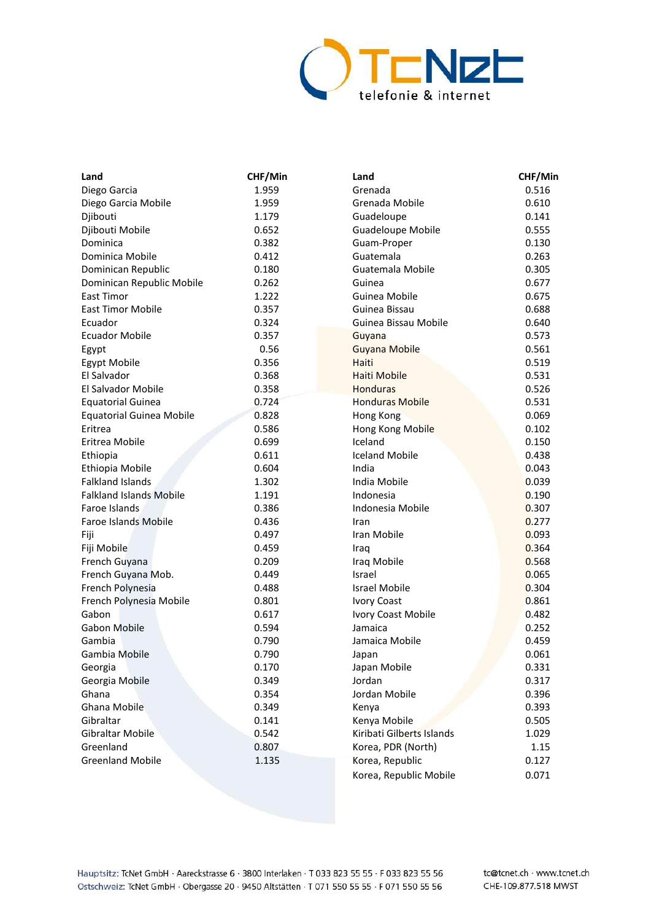

| Land                            | CHF/Min | Land                      | CHF/Min |
|---------------------------------|---------|---------------------------|---------|
| Diego Garcia                    | 1.959   | Grenada                   | 0.516   |
| Diego Garcia Mobile             | 1.959   | Grenada Mobile            | 0.610   |
| Djibouti                        | 1.179   | Guadeloupe                | 0.141   |
| Djibouti Mobile                 | 0.652   | <b>Guadeloupe Mobile</b>  | 0.555   |
| Dominica                        | 0.382   | Guam-Proper               | 0.130   |
| Dominica Mobile                 | 0.412   | Guatemala                 | 0.263   |
| Dominican Republic              | 0.180   | Guatemala Mobile          | 0.305   |
| Dominican Republic Mobile       | 0.262   | Guinea                    | 0.677   |
| East Timor                      | 1.222   | Guinea Mobile             | 0.675   |
| <b>East Timor Mobile</b>        | 0.357   | Guinea Bissau             | 0.688   |
| Ecuador                         | 0.324   | Guinea Bissau Mobile      | 0.640   |
| <b>Ecuador Mobile</b>           | 0.357   | Guyana                    | 0.573   |
| Egypt                           | 0.56    | <b>Guyana Mobile</b>      | 0.561   |
| Egypt Mobile                    | 0.356   | Haiti                     | 0.519   |
| El Salvador                     | 0.368   | Haiti Mobile              | 0.531   |
| El Salvador Mobile              | 0.358   | Honduras                  | 0.526   |
| <b>Equatorial Guinea</b>        | 0.724   | <b>Honduras Mobile</b>    | 0.531   |
| <b>Equatorial Guinea Mobile</b> | 0.828   | Hong Kong                 | 0.069   |
| Eritrea                         | 0.586   | Hong Kong Mobile          | 0.102   |
| Eritrea Mobile                  | 0.699   | Iceland                   | 0.150   |
| Ethiopia                        | 0.611   | <b>Iceland Mobile</b>     | 0.438   |
| Ethiopia Mobile                 | 0.604   | India                     | 0.043   |
| <b>Falkland Islands</b>         | 1.302   | India Mobile              | 0.039   |
| <b>Falkland Islands Mobile</b>  | 1.191   | Indonesia                 | 0.190   |
| Faroe Islands                   | 0.386   | Indonesia Mobile          | 0.307   |
| <b>Faroe Islands Mobile</b>     | 0.436   | Iran                      | 0.277   |
| Fiji                            | 0.497   | Iran Mobile               | 0.093   |
| Fiji Mobile                     | 0.459   | Iraq                      | 0.364   |
| French Guyana                   | 0.209   | Iraq Mobile               | 0.568   |
| French Guyana Mob.              | 0.449   | Israel                    | 0.065   |
| French Polynesia                | 0.488   | <b>Israel Mobile</b>      | 0.304   |
| French Polynesia Mobile         | 0.801   | <b>Ivory Coast</b>        | 0.861   |
| Gabon                           | 0.617   | Ivory Coast Mobile        | 0.482   |
| <b>Gabon Mobile</b>             | 0.594   | Jamaica                   | 0.252   |
| Gambia                          | 0.790   | Jamaica Mobile            | 0.459   |
| Gambia Mobile                   | 0.790   | Japan                     | 0.061   |
| Georgia                         | 0.170   | Japan Mobile              | 0.331   |
| Georgia Mobile                  | 0.349   | Jordan                    | 0.317   |
| Ghana                           | 0.354   | Jordan Mobile             | 0.396   |
| Ghana Mobile                    | 0.349   | Kenya                     | 0.393   |
| Gibraltar                       | 0.141   | Kenya Mobile              | 0.505   |
| Gibraltar Mobile                | 0.542   | Kiribati Gilberts Islands | 1.029   |
| Greenland                       | 0.807   | Korea, PDR (North)        | 1.15    |
| <b>Greenland Mobile</b>         | 1.135   | Korea, Republic           | 0.127   |
|                                 |         | Korea, Republic Mobile    | 0.071   |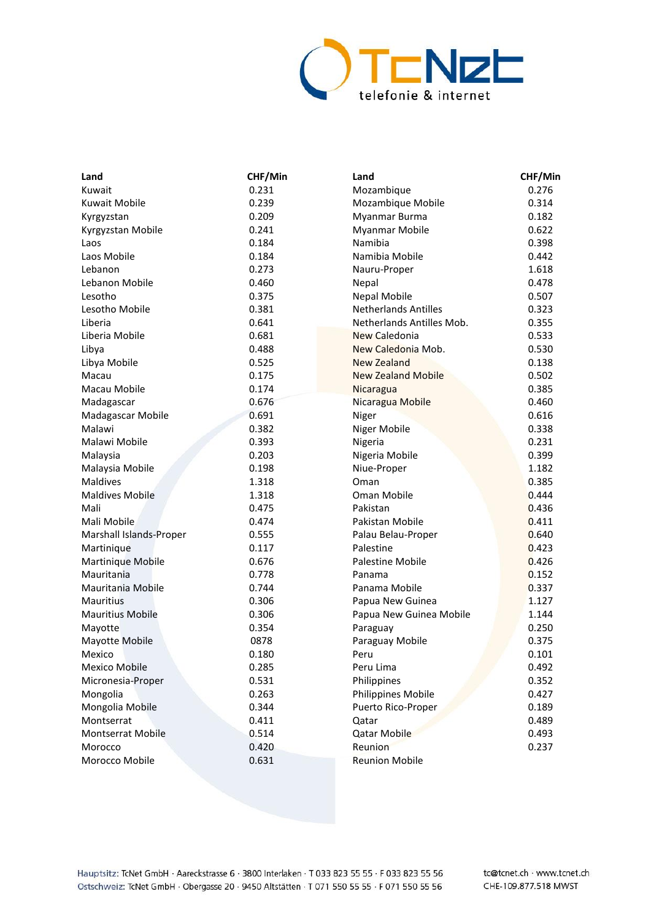

| Land                    | CHF/Min | Land                        | CHF/Min |
|-------------------------|---------|-----------------------------|---------|
| Kuwait                  | 0.231   | Mozambique                  | 0.276   |
| <b>Kuwait Mobile</b>    | 0.239   | Mozambique Mobile           | 0.314   |
| Kyrgyzstan              | 0.209   | Myanmar Burma               | 0.182   |
| Kyrgyzstan Mobile       | 0.241   | Myanmar Mobile              | 0.622   |
| Laos                    | 0.184   | Namibia                     | 0.398   |
| Laos Mobile             | 0.184   | Namibia Mobile              | 0.442   |
| Lebanon                 | 0.273   | Nauru-Proper                | 1.618   |
| Lebanon Mobile          | 0.460   | Nepal                       | 0.478   |
| Lesotho                 | 0.375   | <b>Nepal Mobile</b>         | 0.507   |
| Lesotho Mobile          | 0.381   | <b>Netherlands Antilles</b> | 0.323   |
| Liberia                 | 0.641   | Netherlands Antilles Mob.   | 0.355   |
| Liberia Mobile          | 0.681   | New Caledonia               | 0.533   |
| Libya                   | 0.488   | New Caledonia Mob.          | 0.530   |
| Libya Mobile            | 0.525   | <b>New Zealand</b>          | 0.138   |
| Macau                   | 0.175   | <b>New Zealand Mobile</b>   | 0.502   |
| Macau Mobile            | 0.174   | Nicaragua                   | 0.385   |
| Madagascar              | 0.676   | Nicaragua Mobile            | 0.460   |
| Madagascar Mobile       | 0.691   | Niger                       | 0.616   |
| Malawi                  | 0.382   | Niger Mobile                | 0.338   |
| Malawi Mobile           | 0.393   | Nigeria                     | 0.231   |
| Malaysia                | 0.203   | Nigeria Mobile              | 0.399   |
| Malaysia Mobile         | 0.198   | Niue-Proper                 | 1.182   |
| <b>Maldives</b>         | 1.318   | Oman                        | 0.385   |
| <b>Maldives Mobile</b>  | 1.318   | Oman Mobile                 | 0.444   |
| Mali                    | 0.475   | Pakistan                    | 0.436   |
| Mali Mobile             | 0.474   | Pakistan Mobile             | 0.411   |
| Marshall Islands-Proper | 0.555   | Palau Belau-Proper          | 0.640   |
| Martinique              | 0.117   | Palestine                   | 0.423   |
| Martinique Mobile       | 0.676   | Palestine Mobile            | 0.426   |
| Mauritania              | 0.778   | Panama                      | 0.152   |
| Mauritania Mobile       | 0.744   | Panama Mobile               | 0.337   |
| <b>Mauritius</b>        | 0.306   | Papua New Guinea            | 1.127   |
| <b>Mauritius Mobile</b> | 0.306   | Papua New Guinea Mobile     | 1.144   |
| Mayotte                 | 0.354   | Paraguay                    | 0.250   |
| Mayotte Mobile          | 0878    | Paraguay Mobile             | 0.375   |
| Mexico                  | 0.180   | Peru                        | 0.101   |
| <b>Mexico Mobile</b>    | 0.285   | Peru Lima                   | 0.492   |
| Micronesia-Proper       | 0.531   | Philippines                 | 0.352   |
| Mongolia                | 0.263   | Philippines Mobile          | 0.427   |
| Mongolia Mobile         | 0.344   | Puerto Rico-Proper          | 0.189   |
| Montserrat              | 0.411   | Qatar                       | 0.489   |
| Montserrat Mobile       | 0.514   | Qatar Mobile                | 0.493   |
| Morocco                 | 0.420   | Reunion                     | 0.237   |
| Morocco Mobile          | 0.631   | <b>Reunion Mobile</b>       |         |